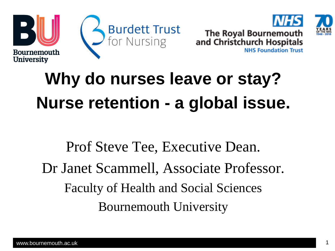



# **Why do nurses leave or stay? Nurse retention - a global issue.**

Prof Steve Tee, Executive Dean. Dr Janet Scammell, Associate Professor. Faculty of Health and Social Sciences Bournemouth University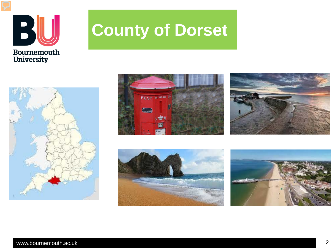

# **County of Dorset**









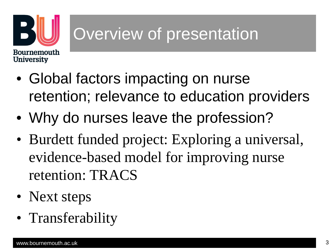

# Overview of presentation

- Global factors impacting on nurse retention; relevance to education providers
- Why do nurses leave the profession?
- Burdett funded project: Exploring a universal, evidence-based model for improving nurse retention: TRACS
- Next steps
- Transferability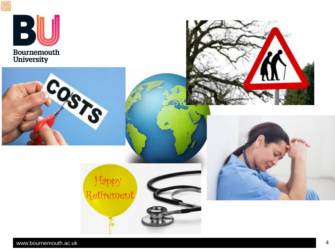







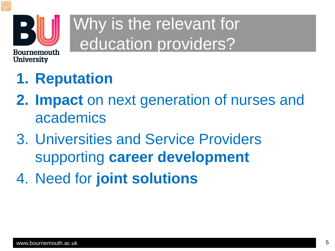

# Why is the relevant for education providers?

### **1. Reputation**

- **2. Impact** on next generation of nurses and academics
- 3. Universities and Service Providers supporting **career development**
- 4. Need for **joint solutions**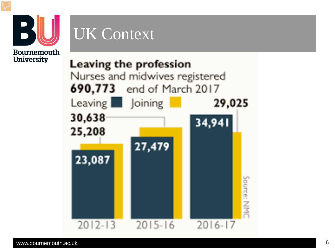

## UK Context

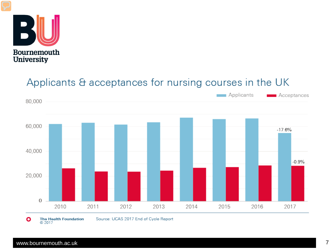

#### Applicants & acceptances for nursing courses in the UK



Source: UCAS 2017 End of Cycle Report

**© 2017**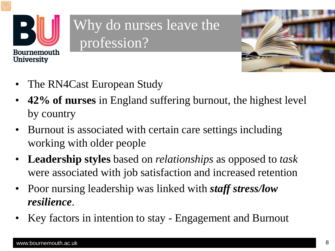

## Why do nurses leave the profession?



- The RN4Cast European Study
- **42% of nurses** in England suffering burnout, the highest level by country
- Burnout is associated with certain care settings including working with older people
- **Leadership styles** based on *relationships* as opposed to *task*  were associated with job satisfaction and increased retention
- Poor nursing leadership was linked with *staff stress/low resilience*.
- Key factors in intention to stay Engagement and Burnout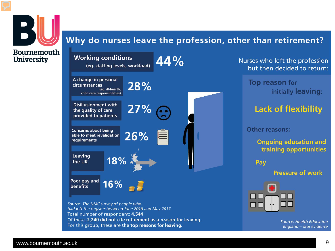

#### Why do nurses leave the profession, other than retirement?

**Working conditions** 44% (eg. staffing levels, workload) A change in personal 28% **circumstances** (eq. ill-health, child care responsibilities) **Disillusionment with**  $27<sup>9</sup>$ the quality of care provided to patients **Concerns about being** 26% able to meet revalidation **requirements** Leaving 18% the UK Poor pay and 16% benefits Source: The NMC survey of people who

had left the register between June 2016 and May 2017. Total number of respondent: 4,544 Of these, 2,240 did not cite retirement as a reason for leaving. For this group, these are the top reasons for leaving.

Nurses who left the profession but then decided to return:

> **Top reason for** initially leaving:

#### **Lack of flexibility**

Other reasons:

**Ongoing education and** training opportunities

Pay

**Pressure of work** 



**Source: Health Education** England – oral evidence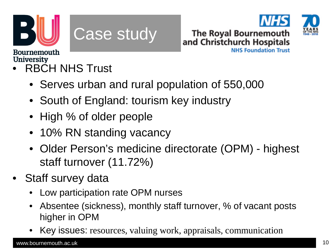

### Case study



- RBCH NHS Trust
	- Serves urban and rural population of 550,000
	- South of England: tourism key industry
	- High % of older people
	- 10% RN standing vacancy
	- Older Person's medicine directorate (OPM) highest staff turnover (11.72%)
- Staff survey data
	- Low participation rate OPM nurses
	- Absentee (sickness), monthly staff turnover, % of vacant posts higher in OPM
	- Key issues: resources, valuing work, appraisals, communication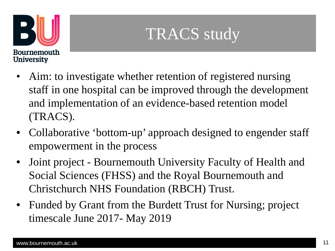

## TRACS study

- Aim: to investigate whether retention of registered nursing staff in one hospital can be improved through the development and implementation of an evidence-based retention model (TRACS).
- Collaborative 'bottom-up' approach designed to engender staff empowerment in the process
- Joint project Bournemouth University Faculty of Health and Social Sciences (FHSS) and the Royal Bournemouth and Christchurch NHS Foundation (RBCH) Trust.
- Funded by Grant from the Burdett Trust for Nursing; project timescale June 2017- May 2019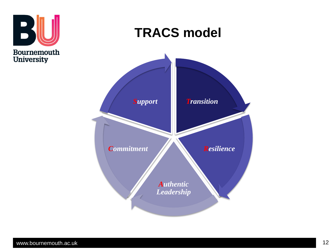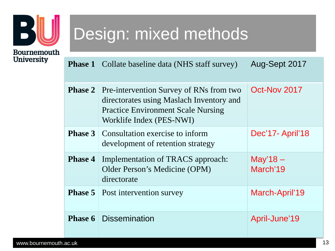

# Design: mixed methods

|                | <b>Phase 1</b> Collate baseline data (NHS staff survey)                                                                                                      | Aug-Sept 2017          |
|----------------|--------------------------------------------------------------------------------------------------------------------------------------------------------------|------------------------|
| <b>Phase 2</b> | Pre-intervention Survey of RNs from two<br>directorates using Maslach Inventory and<br><b>Practice Environment Scale Nursing</b><br>Worklife Index (PES-NWI) | Oct-Nov 2017           |
| <b>Phase 3</b> | Consultation exercise to inform<br>development of retention strategy                                                                                         | Dec'17-April'18        |
| <b>Phase 4</b> | Implementation of TRACS approach:<br><b>Older Person's Medicine (OPM)</b><br>directorate                                                                     | $May'18 -$<br>March'19 |
| <b>Phase 5</b> | Post intervention survey                                                                                                                                     | March-April'19         |
| <b>Phase 6</b> | Dissemination                                                                                                                                                | April-June'19          |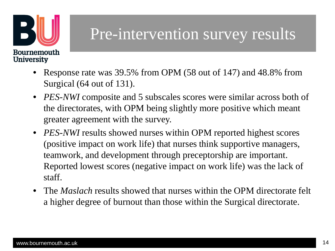

### Pre-intervention survey results

- Response rate was 39.5% from OPM (58 out of 147) and 48.8% from Surgical (64 out of 131).
- *PES-NWI* composite and 5 subscales scores were similar across both of the directorates, with OPM being slightly more positive which meant greater agreement with the survey.
- *PES-NWI* results showed nurses within OPM reported highest scores (positive impact on work life) that nurses think supportive managers, teamwork, and development through preceptorship are important. Reported lowest scores (negative impact on work life) was the lack of staff.
- The *Maslach* results showed that nurses within the OPM directorate felt a higher degree of burnout than those within the Surgical directorate.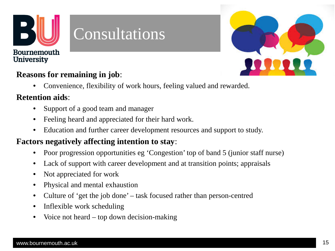

### Consultations

#### **Reasons for remaining in job**:



• Convenience, flexibility of work hours, feeling valued and rewarded.

#### **Retention aids**:

- Support of a good team and manager
- Feeling heard and appreciated for their hard work.
- Education and further career development resources and support to study.

#### **Factors negatively affecting intention to stay**:

- Poor progression opportunities eg 'Congestion' top of band 5 (junior staff nurse)
- Lack of support with career development and at transition points; appraisals
- Not appreciated for work
- Physical and mental exhaustion
- Culture of 'get the job done' task focused rather than person-centred
- Inflexible work scheduling
- Voice not heard top down decision-making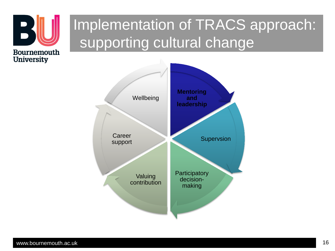

### Implementation of TRACS approach: supporting cultural change

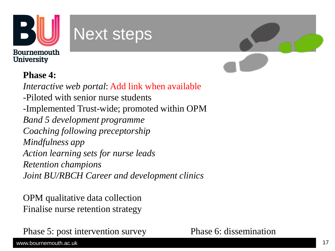

#### **Next steps**



#### **Phase 4:**

*Interactive web portal*: Add link when available -Piloted with senior nurse students -Implemented Trust-wide; promoted within OPM *Band 5 development programme Coaching following preceptorship Mindfulness app Action learning sets for nurse leads Retention champions Joint BU/RBCH Career and development clinics*

OPM qualitative data collection Finalise nurse retention strategy

Phase 5: post intervention survey Phase 6: dissemination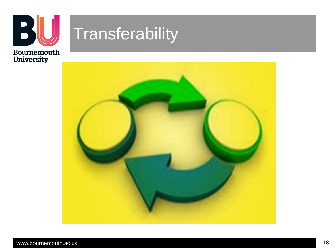

# **Transferability**

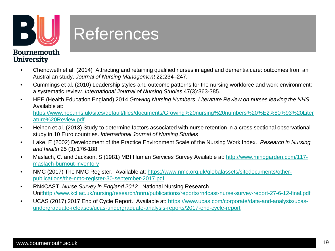

#### References

- Chenoweth et al. (2014) Attracting and retaining qualified nurses in aged and dementia care: outcomes from an Australian study. *Journal of Nursing Management* 22:234–247.
- Cummings et al. (2010) Leadership styles and outcome patterns for the nursing workforce and work environment: a systematic review. *International Journal of Nursing Studies* 47(3):363-385.
- HEE (Health Education England) 2014 *Growing Nursing Numbers. Literature Review on nurses leaving the NHS.* Available at: [https://www.hee.nhs.uk/sites/default/files/documents/Growing%20nursing%20numbers%20%E2%80%93%20Liter](https://www.hee.nhs.uk/sites/default/files/documents/Growing nursing numbers %E2%80%93 Literature Review.pdf) [ature%20Review.pdf](https://www.hee.nhs.uk/sites/default/files/documents/Growing nursing numbers %E2%80%93 Literature Review.pdf)
- Heinen et al. (2013) Study to determine factors associated with nurse retention in a cross sectional observational study in 10 Euro countries. *International Journal of Nursing Studies*
- Lake, E (2002) Development of the Practice Environment Scale of the Nursing Work Index. *Research in Nursing and health* 25 (3):176-188
- Maslach, C. and Jackson, S (1981) MBI Human Services Survey Available at: [http://www.mindgarden.com/117](http://www.mindgarden.com/117-maslach-burnout-inventory) [maslach-burnout-inventory](http://www.mindgarden.com/117-maslach-burnout-inventory)
- NMC (2017) The NMC Register. Available at: [https://www.nmc.org.uk/globalassets/sitedocuments/other](https://www.nmc.org.uk/globalassets/sitedocuments/other-publications/the-nmc-register-30-september-2017.pdf)[publications/the-nmc-register-30-september-2017.pdf](https://www.nmc.org.uk/globalassets/sitedocuments/other-publications/the-nmc-register-30-september-2017.pdf)
- RN4CAST. *Nurse Survey in England 2012.* National Nursing Research Uni[thttp://www.kcl.ac.uk/nursing/research/nnru/publications/reports/rn4cast-nurse-survey-report-27-6-12-final.pdf](http://www.kcl.ac.uk/nursing/research/nnru/publications/reports/rn4cast-nurse-survey-report-27-6-12-final.pdf)
- UCAS (2017) 2017 End of Cycle Report. Available at: [https://www.ucas.com/corporate/data-and-analysis/ucas](https://www.ucas.com/corporate/data-and-analysis/ucas-undergraduate-releases/ucas-undergraduate-analysis-reports/2017-end-cycle-report)[undergraduate-releases/ucas-undergraduate-analysis-reports/2017-end-cycle-report](https://www.ucas.com/corporate/data-and-analysis/ucas-undergraduate-releases/ucas-undergraduate-analysis-reports/2017-end-cycle-report)